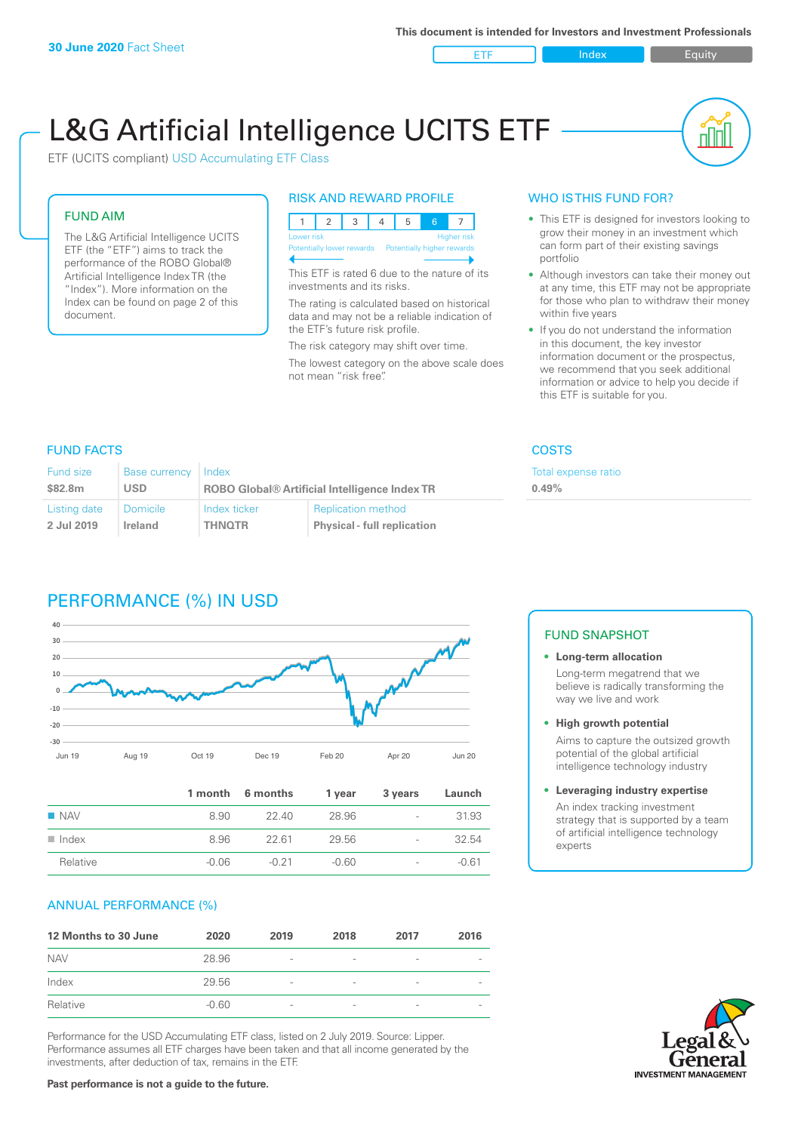**ETF** Index **Index** Equity

nn

# L&G Artificial Intelligence UCITS ETF

ETF (UCITS compliant) USD Accumulating ETF Class

#### FUND AIM

The L&G Artificial Intelligence UCITS ETF (the "ETF") aims to track the performance of the ROBO Global® Artificial Intelligence Index TR (the "Index"). More information on the Index can be found on page 2 of this document.

#### RISK AND REWARD PROFILE

| <b>Higher risk</b><br>Lower risk |  |  |  |  |  |                            |  |
|----------------------------------|--|--|--|--|--|----------------------------|--|
| Potentially lower rewards        |  |  |  |  |  | Potentially higher rewards |  |
|                                  |  |  |  |  |  |                            |  |

This ETF is rated 6 due to the nature of its investments and its risks.

The rating is calculated based on historical data and may not be a reliable indication of the ETF's future risk profile.

The risk category may shift over time. The lowest category on the above scale does not mean "risk free".

#### WHO IS THIS FUND FOR?

- This ETF is designed for investors looking to grow their money in an investment which can form part of their existing savings portfolio
- Although investors can take their money out at any time, this ETF may not be appropriate for those who plan to withdraw their money within five years
- If you do not understand the information in this document, the key investor information document or the prospectus, we recommend that you seek additional information or advice to help you decide if this ETF is suitable for you.

**0.49%**

Total expense ratio

#### FUND FACTS COSTS

| Fund size    | Base currency   | Index                                                |                                    |
|--------------|-----------------|------------------------------------------------------|------------------------------------|
| \$82.8m      | <b>USD</b>      | <b>ROBO Global® Artificial Intelligence Index TR</b> |                                    |
| Listing date | <b>Domicile</b> | Index ticker                                         | <b>Replication method</b>          |
| 2 Jul 2019   | Ireland         | <b>THNOTR</b>                                        | <b>Physical - full replication</b> |

## PERFORMANCE (%) IN USD



|                      |         | 1 month 6 months | 1 year  | 3 years                  | Launch  |
|----------------------|---------|------------------|---------|--------------------------|---------|
| $\blacksquare$ NAV   | 8.90    | 22.40            | 28.96   | $\overline{\phantom{0}}$ | 31.93   |
| $\blacksquare$ Index | 8.96    | 22.61            | 29.56   | $\overline{\phantom{0}}$ | 32.54   |
| Relative             | $-0.06$ | -0.21            | $-0.60$ | $\overline{\phantom{0}}$ | $-0.61$ |

#### ANNUAL PERFORMANCE (%)

| 12 Months to 30 June | 2020    | 2019                     | 2018                     | 2017                     | 2016 |
|----------------------|---------|--------------------------|--------------------------|--------------------------|------|
| <b>NAV</b>           | 28.96   | $\overline{\phantom{a}}$ |                          | ۰                        |      |
| Index                | 29.56   | $\overline{\phantom{a}}$ | $\overline{\phantom{0}}$ | $\qquad \qquad$          |      |
| Relative             | $-0.60$ | $\overline{\phantom{a}}$ |                          | $\overline{\phantom{a}}$ |      |

Performance for the USD Accumulating ETF class, listed on 2 July 2019. Source: Lipper. Performance assumes all ETF charges have been taken and that all income generated by the investments, after deduction of tax, remains in the ETF.

#### FUND SNAPSHOT

#### **• Long-term allocation** Long-term megatrend that we believe is radically transforming the way we live and work

**• High growth potential** Aims to capture the outsized growth potential of the global artificial intelligence technology industry

#### **• Leveraging industry expertise** An index tracking investment strategy that is supported by a team of artificial intelligence technology experts



**Past performance is not a guide to the future.**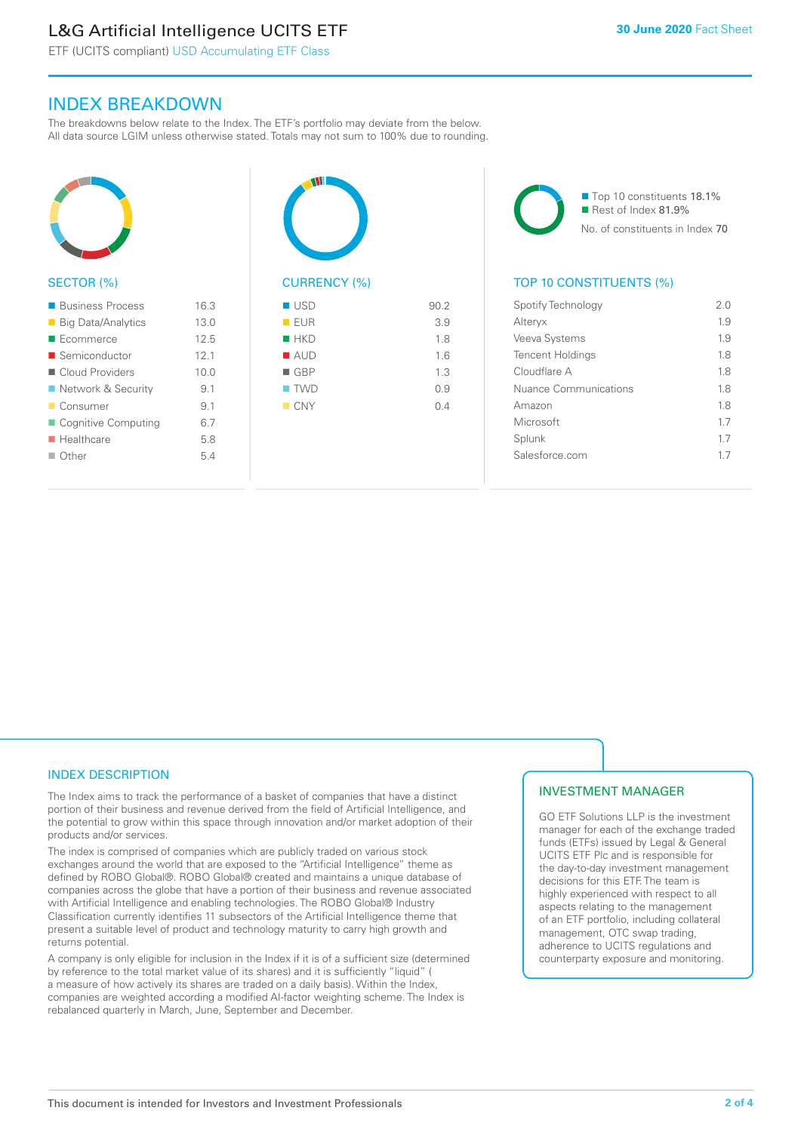# L&G Artificial Intelligence UCITS ETF

ETF (UCITS compliant) USD Accumulating ETF Class

### INDEX BREAKDOWN

The breakdowns below relate to the Index. The ETF's portfolio may deviate from the below. All data source LGIM unless otherwise stated. Totals may not sum to 100% due to rounding.



#### SECTOR (%)

| <b>Business Process</b>   | 16.3 |
|---------------------------|------|
| ■ Big Data/Analytics      | 13.0 |
| $\blacksquare$ Ecommerce  | 12.5 |
| ■ Semiconductor           | 12.1 |
| ■ Cloud Providers         | 100  |
| ■ Network & Security      | 9.1  |
| ■ Consumer                | 91   |
| ■ Cognitive Computing     | 67   |
| $\blacksquare$ Healthcare | 58   |
| $\Box$ Other              | 54   |
|                           |      |



| - - - -            | $\cup$ . $\sim$ |
|--------------------|-----------------|
| <b>EUR</b>         | 3.9             |
| $H$ HKD            | 1.8             |
| ■ AUD              | 1.6             |
| $\blacksquare$ GBP | 1.3             |
| $\blacksquare$ TWD | 0.9             |
| CNY                | 0.4             |
|                    |                 |
|                    |                 |

■ Top 10 constituents 18.1% Rest of Index 81.9% No. of constituents in Index 70

#### TOP 10 CONSTITUENTS (%)

| Spotify Technology      | 2 O |
|-------------------------|-----|
| Alteryx                 | 1.9 |
| Veeva Systems           | 19  |
| <b>Tencent Holdings</b> | 18  |
| Cloudflare A            | 18  |
| Nuance Communications   | 18  |
| Amazon                  | 18  |
| Microsoft               | 17  |
| Splunk                  | 17  |
| Salesforce com          | 17  |
|                         |     |

#### INDEX DESCRIPTION

The Index aims to track the performance of a basket of companies that have a distinct portion of their business and revenue derived from the field of Artificial Intelligence, and the potential to grow within this space through innovation and/or market adoption of their products and/or services.

The index is comprised of companies which are publicly traded on various stock exchanges around the world that are exposed to the "Artificial Intelligence" theme as defined by ROBO Global®. ROBO Global® created and maintains a unique database of companies across the globe that have a portion of their business and revenue associated with Artificial Intelligence and enabling technologies. The ROBO Global® Industry Classification currently identifies 11 subsectors of the Artificial Intelligence theme that present a suitable level of product and technology maturity to carry high growth and returns potential.

A company is only eligible for inclusion in the Index if it is of a sufficient size (determined by reference to the total market value of its shares) and it is sufficiently "liquid" ( a measure of how actively its shares are traded on a daily basis). Within the Index, companies are weighted according a modified AI-factor weighting scheme. The Index is rebalanced quarterly in March, June, September and December.

#### INVESTMENT MANAGER

GO ETF Solutions LLP is the investment manager for each of the exchange traded funds (ETFs) issued by Legal & General UCITS ETF Plc and is responsible for the day-to-day investment management decisions for this ETF. The team is highly experienced with respect to all aspects relating to the management of an ETF portfolio, including collateral management, OTC swap trading, adherence to UCITS regulations and counterparty exposure and monitoring.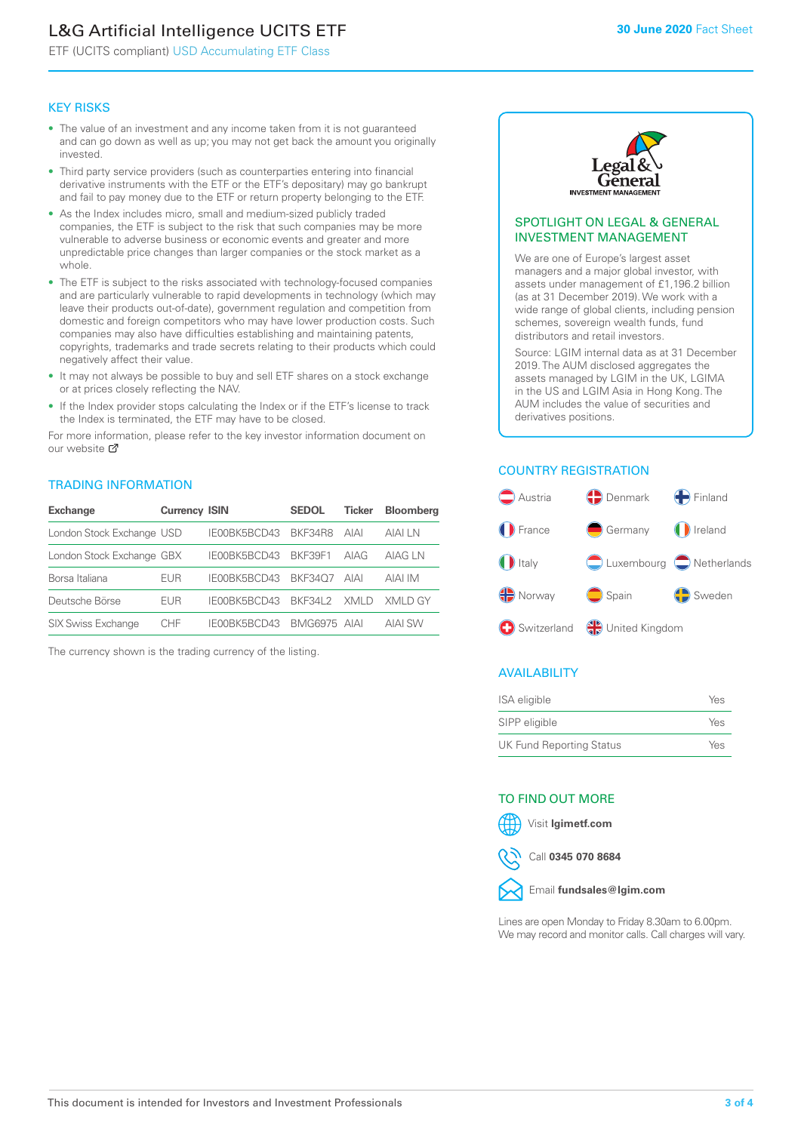# L&G Artificial Intelligence UCITS ETF

ETF (UCITS compliant) USD Accumulating ETF Class

#### KEY RISKS

- The value of an investment and any income taken from it is not guaranteed and can go down as well as up; you may not get back the amount you originally invested.
- Third party service providers (such as counterparties entering into financial derivative instruments with the ETF or the ETF's depositary) may go bankrupt and fail to pay money due to the ETF or return property belonging to the ETF.
- As the Index includes micro, small and medium-sized publicly traded companies, the ETF is subject to the risk that such companies may be more vulnerable to adverse business or economic events and greater and more unpredictable price changes than larger companies or the stock market as a whole.
- The ETF is subject to the risks associated with technology-focused companies and are particularly vulnerable to rapid developments in technology (which may leave their products out-of-date), government regulation and competition from domestic and foreign competitors who may have lower production costs. Such companies may also have difficulties establishing and maintaining patents, copyrights, trademarks and trade secrets relating to their products which could negatively affect their value.
- It may not always be possible to buy and sell ETF shares on a stock exchange or at prices closely reflecting the NAV.
- If the Index provider stops calculating the Index or if the ETF's license to track the Index is terminated, the ETF may have to be closed.

For more information, please refer to the key investor information document on our website Ø

#### TRADING INFORMATION

| <b>Exchange</b>           | <b>Currency ISIN</b> |                      | <b>SEDOL</b> | <b>Ticker</b> | <b>Bloomberg</b> |
|---------------------------|----------------------|----------------------|--------------|---------------|------------------|
| London Stock Exchange USD |                      | IE00BK5BCD43 BKF34R8 |              | AIAI          | AIAI I N         |
| London Stock Exchange GBX |                      | IE00BK5BCD43         | BKF39F1      | AIAG          | AIAG I N         |
| Borsa Italiana            | EUR                  | IE00BK5BCD43         | BKF3407      | AIAI          | AIAI IM          |
| Deutsche Börse            | EUR                  | IFOORK5BCD43         | BKF341 2     | XMI D         | XMI D GY         |
| <b>SIX Swiss Exchange</b> | CHE                  | IE00BK5BCD43         | BMG6975 AIAI |               | AIAI SW          |

The currency shown is the trading currency of the listing.



#### SPOTLIGHT ON LEGAL & GENERAL INVESTMENT MANAGEMENT

We are one of Europe's largest asset managers and a major global investor, with assets under management of £1,196.2 billion (as at 31 December 2019). We work with a wide range of global clients, including pension schemes, sovereign wealth funds, fund distributors and retail investors.

Source: LGIM internal data as at 31 December 2019. The AUM disclosed aggregates the assets managed by LGIM in the UK, LGIMA in the US and LGIM Asia in Hong Kong. The AUM includes the value of securities and derivatives positions.

#### COUNTRY REGISTRATION



#### AVAILABILITY

| ISA eligible                    | Yes |
|---------------------------------|-----|
| SIPP eligible                   | Yes |
| <b>UK Fund Reporting Status</b> | Yes |

#### TO FIND OUT MORE



Call **0345 070 8684**



Lines are open Monday to Friday 8.30am to 6.00pm. We may record and monitor calls. Call charges will vary.